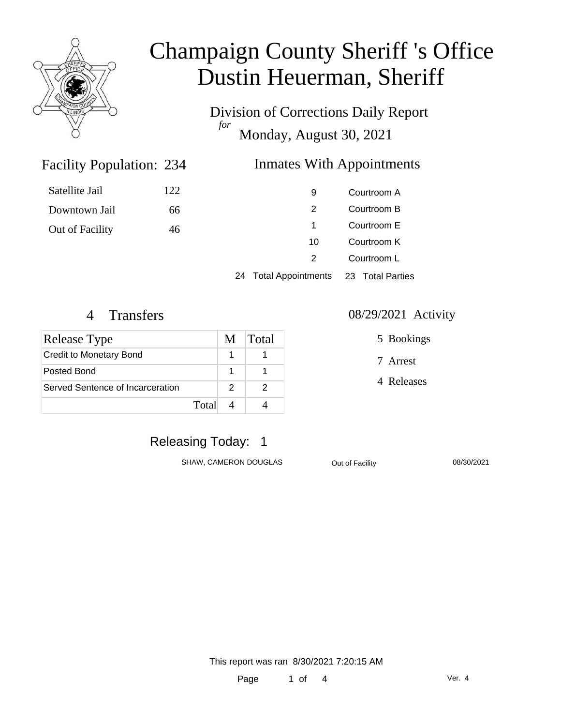

Division of Corrections Daily Report *for* Monday, August 30, 2021

### Inmates With Appointments

| Satellite Jail  | 122 | 9  | Courtroom A |
|-----------------|-----|----|-------------|
| Downtown Jail   | 66  | 2  | Courtroom B |
| Out of Facility | 46  |    | Courtroom E |
|                 |     | 10 | Courtroom K |
|                 |     |    | Courtroom L |

24 Total Appointments 23 Total Parties

Facility Population: 234

| <b>Release Type</b>              | M | Total |
|----------------------------------|---|-------|
| <b>Credit to Monetary Bond</b>   |   |       |
| Posted Bond                      |   |       |
| Served Sentence of Incarceration | 2 |       |
| Total                            |   |       |

#### 4 Transfers 08/29/2021 Activity

5 Bookings

7 Arrest

4 Releases

### Releasing Today: 1

SHAW, CAMERON DOUGLAS Out of Facility 08/30/2021

This report was ran 8/30/2021 7:20:15 AM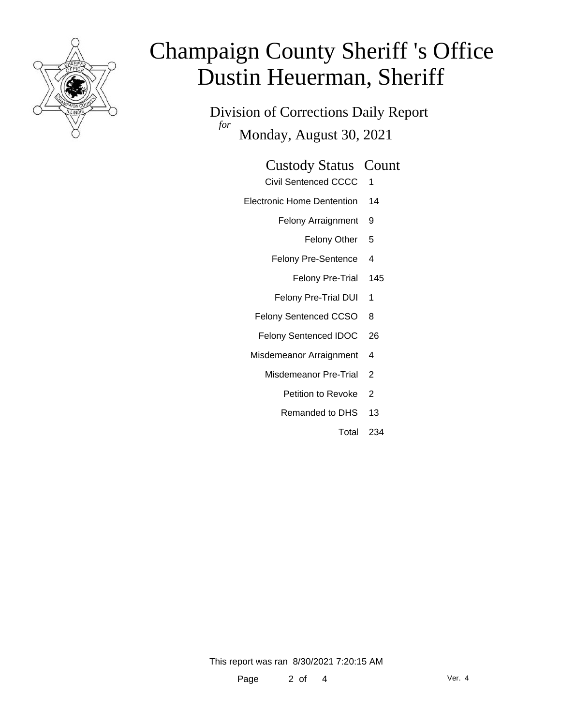

Division of Corrections Daily Report *for* Monday, August 30, 2021

#### Custody Status Count

- Civil Sentenced CCCC 1
- Electronic Home Dentention 14
	- Felony Arraignment 9
		- Felony Other 5
	- Felony Pre-Sentence 4
		- Felony Pre-Trial 145
	- Felony Pre-Trial DUI 1
	- Felony Sentenced CCSO 8
	- Felony Sentenced IDOC 26
	- Misdemeanor Arraignment 4
		- Misdemeanor Pre-Trial 2
			- Petition to Revoke 2
			- Remanded to DHS 13
				- Total 234

This report was ran 8/30/2021 7:20:15 AM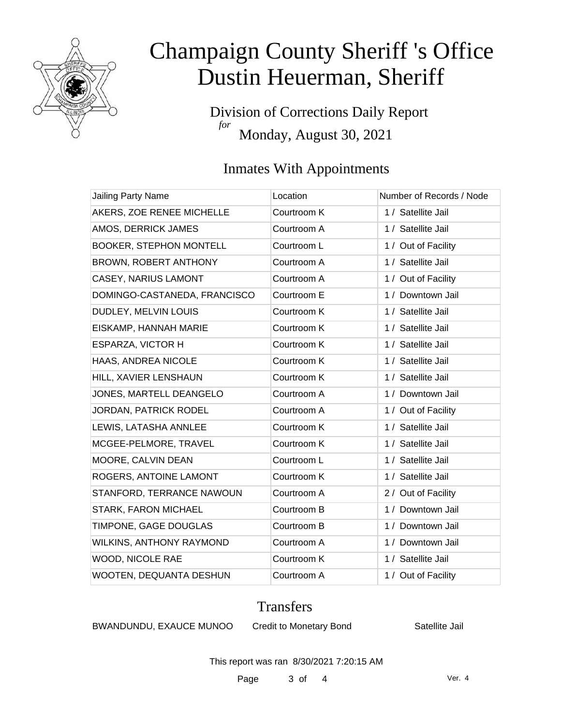

Division of Corrections Daily Report *for* Monday, August 30, 2021

### Inmates With Appointments

| Jailing Party Name             | Location    | Number of Records / Node |
|--------------------------------|-------------|--------------------------|
| AKERS, ZOE RENEE MICHELLE      | Courtroom K | 1 / Satellite Jail       |
| AMOS, DERRICK JAMES            | Courtroom A | 1 / Satellite Jail       |
| <b>BOOKER, STEPHON MONTELL</b> | Courtroom L | 1 / Out of Facility      |
| BROWN, ROBERT ANTHONY          | Courtroom A | 1 / Satellite Jail       |
| CASEY, NARIUS LAMONT           | Courtroom A | 1 / Out of Facility      |
| DOMINGO-CASTANEDA, FRANCISCO   | Courtroom E | 1 / Downtown Jail        |
| DUDLEY, MELVIN LOUIS           | Courtroom K | 1 / Satellite Jail       |
| EISKAMP, HANNAH MARIE          | Courtroom K | 1 / Satellite Jail       |
| <b>ESPARZA, VICTOR H</b>       | Courtroom K | 1 / Satellite Jail       |
| HAAS, ANDREA NICOLE            | Courtroom K | 1 / Satellite Jail       |
| HILL, XAVIER LENSHAUN          | Courtroom K | 1 / Satellite Jail       |
| JONES, MARTELL DEANGELO        | Courtroom A | 1 / Downtown Jail        |
| JORDAN, PATRICK RODEL          | Courtroom A | 1 / Out of Facility      |
| LEWIS, LATASHA ANNLEE          | Courtroom K | 1 / Satellite Jail       |
| MCGEE-PELMORE, TRAVEL          | Courtroom K | 1 / Satellite Jail       |
| MOORE, CALVIN DEAN             | Courtroom L | 1 / Satellite Jail       |
| ROGERS, ANTOINE LAMONT         | Courtroom K | 1 / Satellite Jail       |
| STANFORD, TERRANCE NAWOUN      | Courtroom A | 2 / Out of Facility      |
| STARK, FARON MICHAEL           | Courtroom B | 1 / Downtown Jail        |
| TIMPONE, GAGE DOUGLAS          | Courtroom B | 1 / Downtown Jail        |
| WILKINS, ANTHONY RAYMOND       | Courtroom A | 1 / Downtown Jail        |
| WOOD, NICOLE RAE               | Courtroom K | 1 / Satellite Jail       |
| WOOTEN, DEQUANTA DESHUN        | Courtroom A | 1 / Out of Facility      |

#### **Transfers**

BWANDUNDU, EXAUCE MUNOO Credit to Monetary Bond Satellite Jail

This report was ran 8/30/2021 7:20:15 AM

Page 3 of 4